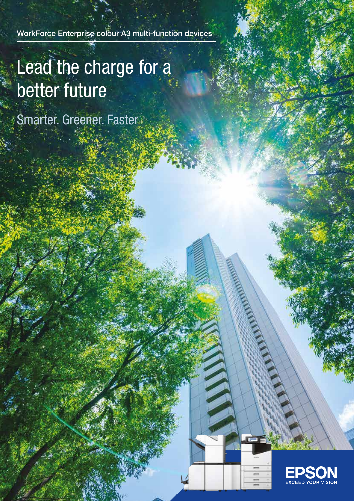WorkForce Enterprise colour A3 multi-function devices

# Lead the charge for a better future

Smarter. Greener. Faster

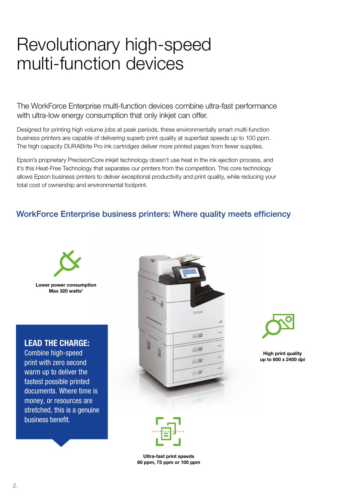# Revolutionary high-speed multi-function devices

The WorkForce Enterprise multi-function devices combine ultra-fast performance with ultra-low energy consumption that only inkjet can offer.

Designed for printing high volume jobs at peak periods, these environmentally smart multi-function business printers are capable of delivering superb print quality at superfast speeds up to 100 ppm. The high capacity DURABrite Pro ink cartridges deliver more printed pages from fewer supplies.

Epson's proprietary PrecisionCore inkjet technology doesn't use heat in the ink ejection process, and it's this Heat-Free Technology that separates our printers from the competition. This core technology allows Epson business printers to deliver exceptional productivity and print quality, while reducing your total cost of ownership and environmental footprint.

## WorkForce Enterprise business printers: Where quality meets efficiency



Lower power consumption  $Max$  320 watts<sup>1</sup>

#### LEAD THE CHARGE:

Combine high-speed print with zero second warm up to deliver the fastest possible printed documents. Where time is money, or resources are stretched, this is a genuine business benefit.





High print quality up to 600 x 2400 dpi



Ultra-fast print speeds 60 ppm, 75 ppm or 100 ppm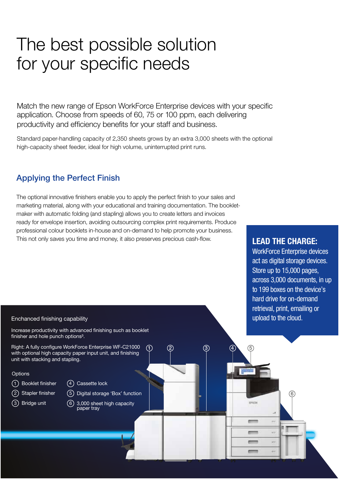# The best possible solution for your specific needs

Match the new range of Epson WorkForce Enterprise devices with your specific application. Choose from speeds of 60, 75 or 100 ppm, each delivering productivity and efficiency benefits for your staff and business.

Standard paper-handling capacity of 2,350 sheets grows by an extra 3,000 sheets with the optional high-capacity sheet feeder, ideal for high volume, uninterrupted print runs.

## Applying the Perfect Finish

The optional innovative finishers enable you to apply the perfect finish to your sales and marketing material, along with your educational and training documentation. The bookletmaker with automatic folding (and stapling) allows you to create letters and invoices ready for envelope insertion, avoiding outsourcing complex print requirements. Produce professional colour booklets in-house and on-demand to help promote your business. This not only saves you time and money, it also preserves precious cash-flow.

### LEAD THE CHARGE:

WorkForce Enterprise devices act as digital storage devices. Store up to 15,000 pages, across 3,000 documents, in up to 199 boxes on the device's hard drive for on-demand retrieval, print, emailing or upload to the cloud.

6

4

EPECK

 $rac{1}{2}$  $rac{1}{2}$ 

#### Enchanced finishing capability

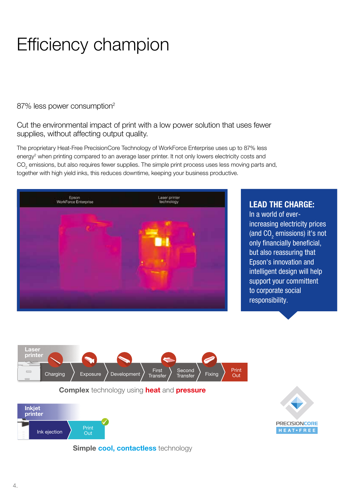# Efficiency champion

87% less power consumption<sup>2</sup>

#### Cut the environmental impact of print with a low power solution that uses fewer supplies, without affecting output quality.

The proprietary Heat-Free PrecisionCore Technology of WorkForce Enterprise uses up to 87% less energy<sup>2</sup> when printing compared to an average laser printer. It not only lowers electricity costs and  $\mathrm{CO}_2$  emissions, but also requires fewer supplies. The simple print process uses less moving parts and, together with high yield inks, this reduces downtime, keeping your business productive.



### LEAD THE CHARGE:

In a world of everincreasing electricity prices (and  $\mathrm{CO}_2$  emissions) it's not only financially beneficial, but also reassuring that Epson's innovation and intelligent design will help support your committent to corporate social responsibility.



**Complex** technology using **heat** and **pressure** 



Simple cool, contactless technology

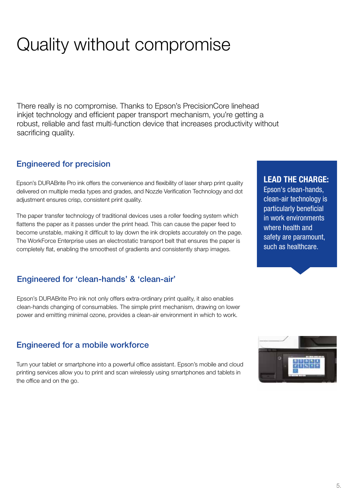# Quality without compromise

There really is no compromise. Thanks to Epson's PrecisionCore linehead inkjet technology and efficient paper transport mechanism, you're getting a robust, reliable and fast multi-function device that increases productivity without sacrificing quality.

# Engineered for precision

Epson's DURABrite Pro ink offers the convenience and flexibility of laser sharp print quality delivered on multiple media types and grades, and Nozzle Verification Technology and dot adjustment ensures crisp, consistent print quality.

The paper transfer technology of traditional devices uses a roller feeding system which flattens the paper as it passes under the print head. This can cause the paper feed to become unstable, making it difficult to lay down the ink droplets accurately on the page. The WorkForce Enterprise uses an electrostatic transport belt that ensures the paper is completely flat, enabling the smoothest of gradients and consistently sharp images.

# Engineered for 'clean-hands' & 'clean-air'

Epson's DURABrite Pro ink not only offers extra-ordinary print quality, it also enables clean-hands changing of consumables. The simple print mechanism, drawing on lower power and emitting minimal ozone, provides a clean-air environment in which to work.

## Engineered for a mobile workforce

Turn your tablet or smartphone into a powerful office assistant. Epson's mobile and cloud printing services allow you to print and scan wirelessly using smartphones and tablets in the office and on the go.

# LEAD THE CHARGE:

Epson's clean-hands, clean-air technology is particularly beneficial in work environments where health and safety are paramount, such as healthcare.

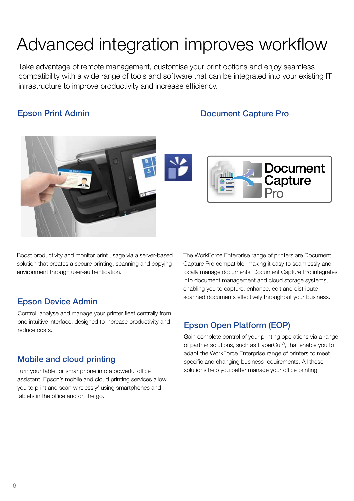# Advanced integration improves workflow

Take advantage of remote management, customise your print options and enjoy seamless compatibility with a wide range of tools and software that can be integrated into your existing IT infrastructure to improve productivity and increase efficiency.

Epson Print Admin **Epson Print Admin** 





Boost productivity and monitor print usage via a server-based solution that creates a secure printing, scanning and copying environment through user-authentication.

Control, analyse and manage your printer fleet centrally from one intuitive interface, designed to increase productivity and one intuitive interface, designed to increase productivity and **Epson Open Platform (EOP)** 

## Mobile and cloud printing

Turn your tablet or smartphone into a powerful office assistant. Epson's mobile and cloud printing services allow you to print and scan wirelessly<sup>3</sup> using smartphones and tablets in the office and on the go.

The WorkForce Enterprise range of printers are Document Capture Pro compatible, making it easy to seamlessly and locally manage documents. Document Capture Pro integrates into document management and cloud storage systems, enabling you to capture, enhance, edit and distribute scanned documents effectively throughout your business. Epson Device Admin

Gain complete control of your printing operations via a range of partner solutions, such as PaperCut®, that enable you to adapt the WorkForce Enterprise range of printers to meet specific and changing business requirements. All these solutions help you better manage your office printing.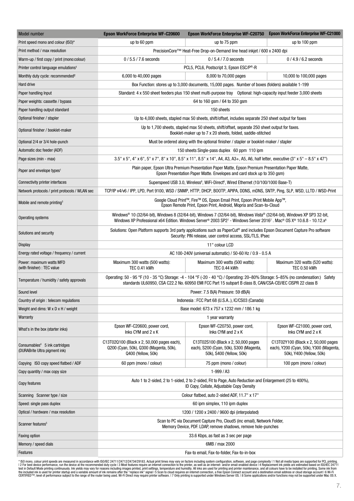| Model number                                                               | <b>Epson WorkForce Enterprise WF-C20600</b>                                                                                                                                                                                                                  | <b>Epson WorkForce Enterprise WF-C20750</b>                                                                 | <b>Epson WorkForce Enterprise WF-C21000</b>                                                                |
|----------------------------------------------------------------------------|--------------------------------------------------------------------------------------------------------------------------------------------------------------------------------------------------------------------------------------------------------------|-------------------------------------------------------------------------------------------------------------|------------------------------------------------------------------------------------------------------------|
| Print speed mono and colour (ISO)*                                         | up to 60 ppm                                                                                                                                                                                                                                                 | up to 75 ppm                                                                                                | up to 100 ppm                                                                                              |
| Print method / max resolution                                              | PrecisionCore™ Heat-Free Drop-on-Demand line head inkjet / 600 x 2400 dpi                                                                                                                                                                                    |                                                                                                             |                                                                                                            |
| Warm-up / first copy / print (mono:colour)                                 | $0/5.5/7.6$ seconds<br>$0/5.4/7.0$ seconds<br>$0/4.9/6.2$ seconds                                                                                                                                                                                            |                                                                                                             |                                                                                                            |
| Printer control language emulations <sup>1</sup>                           | PCL5, PCL6, Postscript 3, Epson ESC/P <sup>®</sup> -R                                                                                                                                                                                                        |                                                                                                             |                                                                                                            |
| Monthly duty cycle: recommended <sup>2</sup>                               | 6,000 to 40,000 pages                                                                                                                                                                                                                                        | 8,000 to 70,000 pages                                                                                       | 10,000 to 100,000 pages                                                                                    |
| Hard drive                                                                 | Box Function: stores up to 3,000 documents, 15,000 pages. Number of boxes (folders) available 1-199                                                                                                                                                          |                                                                                                             |                                                                                                            |
| Paper handling Input                                                       | Standard: 4 x 550 sheet feeders plus 150 sheet multi-purpose tray Optional: high-capacity input feeder 3,000 sheets                                                                                                                                          |                                                                                                             |                                                                                                            |
| Paper weights: cassette / bypass                                           | 64 to 160 gsm / 64 to 350 gsm                                                                                                                                                                                                                                |                                                                                                             |                                                                                                            |
| Paper handling output standard                                             | 150 sheets                                                                                                                                                                                                                                                   |                                                                                                             |                                                                                                            |
| Optional finisher / stapler                                                | Up to 4,000 sheets, stapled max 50 sheets, shift/offset, includes separate 250 sheet output for faxes                                                                                                                                                        |                                                                                                             |                                                                                                            |
| Optional finisher / booklet-maker                                          | Up to 1,700 sheets, stapled max 50 sheets, shift/offset, separate 250 sheet output for faxes.<br>Booklet-maker up to 7 x 20 sheets, folded, saddle-stitched                                                                                                  |                                                                                                             |                                                                                                            |
| Optional 2/4 or 3/4 hole-punch                                             | Must be ordered along with the optional finisher / stapler or booklet-maker / stapler                                                                                                                                                                        |                                                                                                             |                                                                                                            |
| Automatic doc feeder (ADF)                                                 | 150 sheets Single-pass duplex 60 ppm 110 ipm                                                                                                                                                                                                                 |                                                                                                             |                                                                                                            |
| Page sizes (min - max)                                                     | 3.5" x 5", 4" x 6", 5" x 7", 8" x 10", 8.5" x 11", 8.5" x 14", A4, A3, A3+, A5, A6, half letter, executive (3" x 5" - 8.5" x 47")                                                                                                                            |                                                                                                             |                                                                                                            |
| Paper and envelope types <sup>1</sup>                                      | Plain paper, Epson Ultra Premium Presentation Paper Matte, Epson Premium Presentation Paper Matte,<br>Epson Presentation Paper Matte. Envelopes and card stock up to 350 gsm)                                                                                |                                                                                                             |                                                                                                            |
| Connectivity printer interfaces                                            | Superspeed USB 3.0, Wireless <sup>6</sup> , WiFi-Direct <sup>6</sup> , Wired Ethernet (10/100/1000 Base-T)                                                                                                                                                   |                                                                                                             |                                                                                                            |
| Network protocols / print protocols / WLAN sec                             | TCP/IP v4/v6 / IPP, LPD, Port 9100, WSD / SNMP, HTTP, DHCP, BOOTP, APIPA, DDNS, mDNS, SNTP, Ping, SLP, WSD, LLTD / WSD-Print                                                                                                                                 |                                                                                                             |                                                                                                            |
| Mobile and remote printing <sup>3</sup>                                    | Google Cloud Print™, Fire™ OS, Epson Email Print, Epson iPrint Mobile App™,<br>Epson Remote Print, Epson Print, Android, Mopria and Scan-to-Cloud                                                                                                            |                                                                                                             |                                                                                                            |
| Operating systems                                                          | Windows® 10 (32/64-bit), Windows 8 (32/64-bit), Windows 7 (32/64-bit), Windows Vista® (32/64-bit), Windows XP SP3 32-bit,<br>Windows XP Professional x64 Edition. Windows Server® 2003 SP27 - Windows Server 20167. Mac® OS X® 10.6.8 - 10.12.x <sup>8</sup> |                                                                                                             |                                                                                                            |
| Solutions and security                                                     | Solutions: Open Platform supports 3rd party applications such as PaperCut® and includes Epson Document Capture Pro software<br>Security: PIN release, user control access, SSL/TLS, IPsec                                                                    |                                                                                                             |                                                                                                            |
| <b>Display</b>                                                             | 11" colour LCD                                                                                                                                                                                                                                               |                                                                                                             |                                                                                                            |
| Energy rated voltage / frequency / current                                 | AC 100-240V (universal automatic) / 50-60 Hz / 0.9 - 0.5 A                                                                                                                                                                                                   |                                                                                                             |                                                                                                            |
| Power: maximum watts MFD<br>(with finisher) : TEC value                    | Maximum 300 watts (500 watts):<br><b>TEC 0.41 kWh</b>                                                                                                                                                                                                        | Maximum 300 watts (500 watts):<br><b>TEC 0.44 kWh</b>                                                       | Maximum 320 watts (520 watts):<br><b>TEC 0.50 kWh</b>                                                      |
| Temperature / humidity / safety approvals                                  | Operating: 50 - 95 °F (10 - 35 °C) Storage: -4 - 104 °F (-20 - 40 °C) / Operating: 20-80% Storage: 5-85% (no condensation:) Safety<br>standards UL60950, CSA C22.2 No. 60950 EMI FCC Part 15 subpart B class B, CAN/CSA-CEI/IEC CISPR 22 class B             |                                                                                                             |                                                                                                            |
| Sound level                                                                | Power: 7.5 B(A) Pressure: 59 dB(A)                                                                                                                                                                                                                           |                                                                                                             |                                                                                                            |
| Country of origin : telecom regulations                                    | Indonesia: FCC Part 68 (U.S.A), IC/CS03 (Canada)                                                                                                                                                                                                             |                                                                                                             |                                                                                                            |
| Weight and dims: W x D x H / weight                                        | Base model: 673 x 757 x 1232 mm / 186.1 kg                                                                                                                                                                                                                   |                                                                                                             |                                                                                                            |
| Warranty                                                                   | 1 year warranty                                                                                                                                                                                                                                              |                                                                                                             |                                                                                                            |
| What's in the box (starter inks)                                           | Epson WF-C20600, power cord,<br>Inks CYM and 2 x K                                                                                                                                                                                                           | Epson WF-C20750, power cord,<br>Inks CYM and 2 x K                                                          | Epson WF-C21000, power cord,<br>Inks CYM and 2 x K                                                         |
| Consumables <sup>4</sup> 5 ink cartridges<br>(DURABrite Ultra pigment ink) | C13T02Q100 (Black x 2, 50,000 pages each),<br>Q200 (Cyan, 50k), Q300 (Magenta, 50k),<br>Q400 (Yellow, 50k)                                                                                                                                                   | C13T02S100 (Black x 2, 50,000 pages)<br>each), S200 (Cyan, 50k), S300 (Magenta,<br>50k), S400 (Yellow, 50k) | C13T02Y100 (Black x 2, 50,000 pages<br>each), Y200 (Cyan, 50k), Y300 (Magenta,<br>50k), Y400 (Yellow, 50k) |
| Copying ISO copy speed flatbed / ADF                                       | 60 ppm (mono / colour)                                                                                                                                                                                                                                       | 75 ppm (mono / colour)                                                                                      | 100 ppm (mono / colour)                                                                                    |
| Copy quantity / max copy size                                              | $1-999/A3$                                                                                                                                                                                                                                                   |                                                                                                             |                                                                                                            |
| Copy features                                                              | Auto 1 to 2-sided, 2 to 1-sided, 2 to 2-sided, Fit to Page, Auto Reduction and Enlargement (25 to 400%),<br>ID Copy, Collate, Adjustable Copy Density                                                                                                        |                                                                                                             |                                                                                                            |
| Scanning Scanner type / size                                               | Colour flatbed, auto 2-sided ADF, 11.7" x 17"                                                                                                                                                                                                                |                                                                                                             |                                                                                                            |
| Speed: single pass duplex                                                  | 60 ipm simplex, 110 ipm duplex                                                                                                                                                                                                                               |                                                                                                             |                                                                                                            |
| Optical / hardware / max resolution                                        | 1200 / 1200 x 2400 / 9600 dpi (interpolated)                                                                                                                                                                                                                 |                                                                                                             |                                                                                                            |
| Scanner features <sup>5</sup>                                              | Scan to PC via Document Capture Pro, Cloud5 (inc email), Network Folder,<br>Memory Device, PDF. LDAP, remove shadows, remove hole-punches                                                                                                                    |                                                                                                             |                                                                                                            |
| <b>Faxing option</b>                                                       | 33.6 Kbps, as fast as 3 sec per page                                                                                                                                                                                                                         |                                                                                                             |                                                                                                            |
| Memory / speed dials                                                       | 6MB / max 2000                                                                                                                                                                                                                                               |                                                                                                             |                                                                                                            |
| Features                                                                   | Fax-to email, Fax-to-folder, Fax-to-in-box                                                                                                                                                                                                                   |                                                                                                             |                                                                                                            |

\* ISO mono, colour print speeds are measured in accordance with ISO/IEC 24711/247124734/29734/291348.chcul print times may vary on the printer, as well as an internet connection, software, and page complexity |1 Mok all me